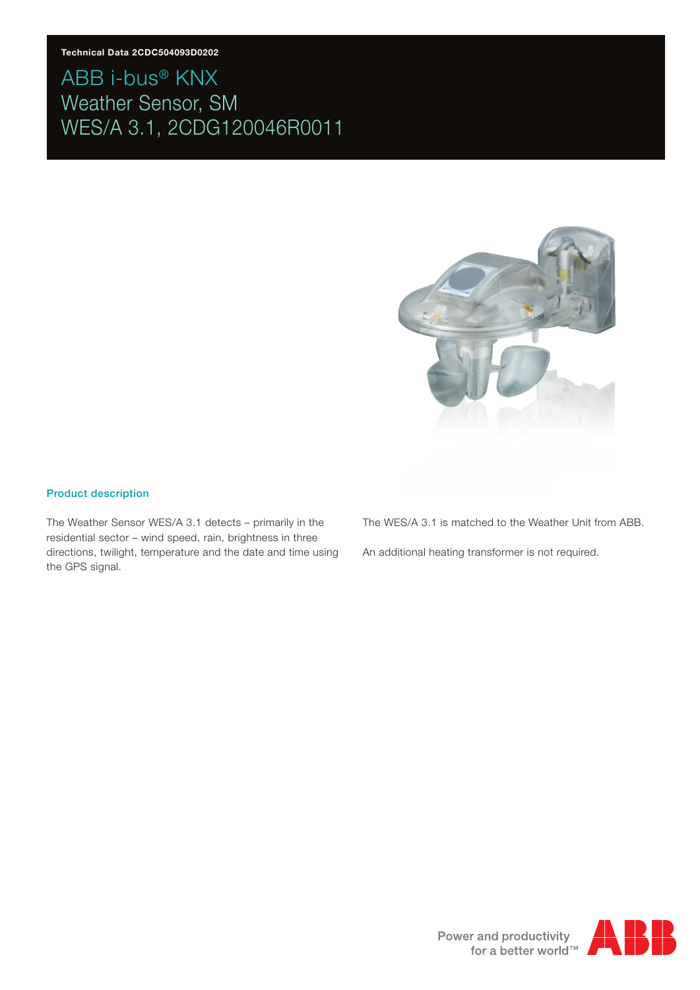

#### Product description

The Weather Sensor WES/A 3.1 detects – primarily in the residential sector – wind speed, rain, brightness in three directions, twilight, temperature and the date and time using the GPS signal.

The WES/A 3.1 is matched to the Weather Unit from ABB.

An additional heating transformer is not required.

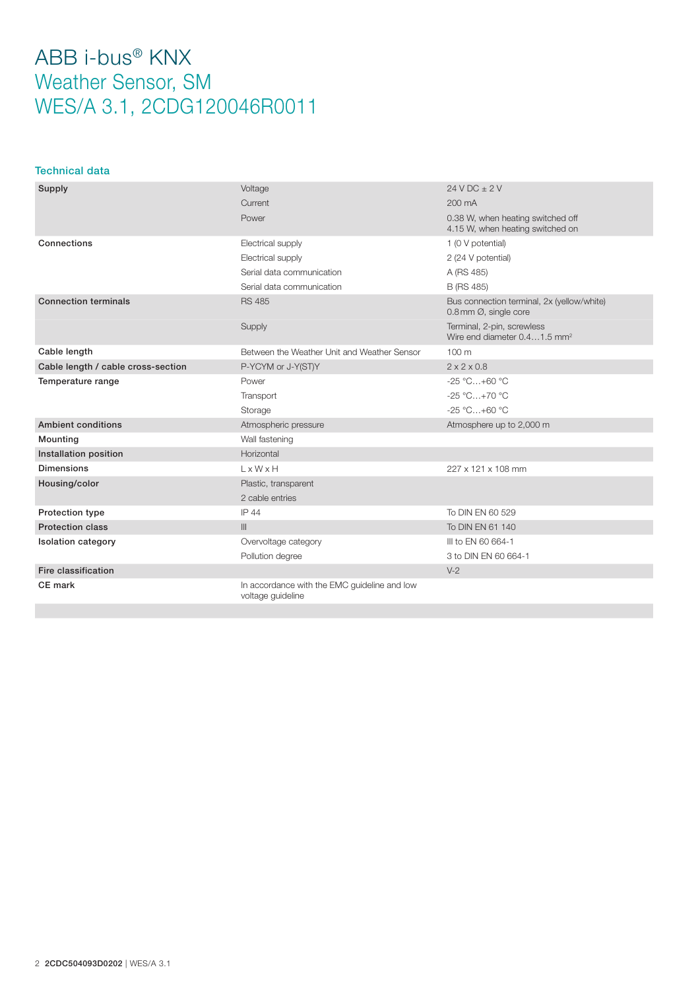### Technical data

| Supply                             | Voltage                                                           | $24 VDC + 2 V$                                                         |
|------------------------------------|-------------------------------------------------------------------|------------------------------------------------------------------------|
|                                    | Current                                                           | 200 mA                                                                 |
|                                    | Power                                                             | 0.38 W, when heating switched off<br>4.15 W, when heating switched on  |
| Connections                        | Electrical supply                                                 | 1 (0 V potential)                                                      |
|                                    | Electrical supply                                                 | 2 (24 V potential)                                                     |
|                                    | Serial data communication                                         | A (RS 485)                                                             |
|                                    | Serial data communication                                         | <b>B</b> (RS 485)                                                      |
| <b>Connection terminals</b>        | <b>RS 485</b>                                                     | Bus connection terminal, 2x (yellow/white)<br>0.8 mm Ø, single core    |
|                                    | Supply                                                            | Terminal, 2-pin, screwless<br>Wire end diameter 0.41.5 mm <sup>2</sup> |
| Cable length                       | Between the Weather Unit and Weather Sensor                       | 100 m                                                                  |
| Cable length / cable cross-section | P-YCYM or J-Y(ST)Y                                                | $2 \times 2 \times 0.8$                                                |
| Temperature range                  | Power                                                             | $-25 °C+60 °C$                                                         |
|                                    | Transport                                                         | $-25 °C+70 °C$                                                         |
|                                    | Storage                                                           | $-25 °C+60 °C$                                                         |
| Ambient conditions                 | Atmospheric pressure                                              | Atmosphere up to 2,000 m                                               |
| Mounting                           | Wall fastening                                                    |                                                                        |
| Installation position              | Horizontal                                                        |                                                                        |
| <b>Dimensions</b>                  | $L \times W \times H$                                             | 227 x 121 x 108 mm                                                     |
| Housing/color                      | Plastic, transparent                                              |                                                                        |
|                                    | 2 cable entries                                                   |                                                                        |
| <b>Protection type</b>             | <b>IP 44</b>                                                      | To DIN EN 60 529                                                       |
| <b>Protection class</b>            | $\mathbb{H}$                                                      | To DIN EN 61 140                                                       |
| <b>Isolation category</b>          | Overvoltage category                                              | III to EN 60 664-1                                                     |
|                                    | Pollution degree                                                  | 3 to DIN EN 60 664-1                                                   |
| Fire classification                |                                                                   | $V-2$                                                                  |
| CE mark                            | In accordance with the EMC guideline and low<br>voltage guideline |                                                                        |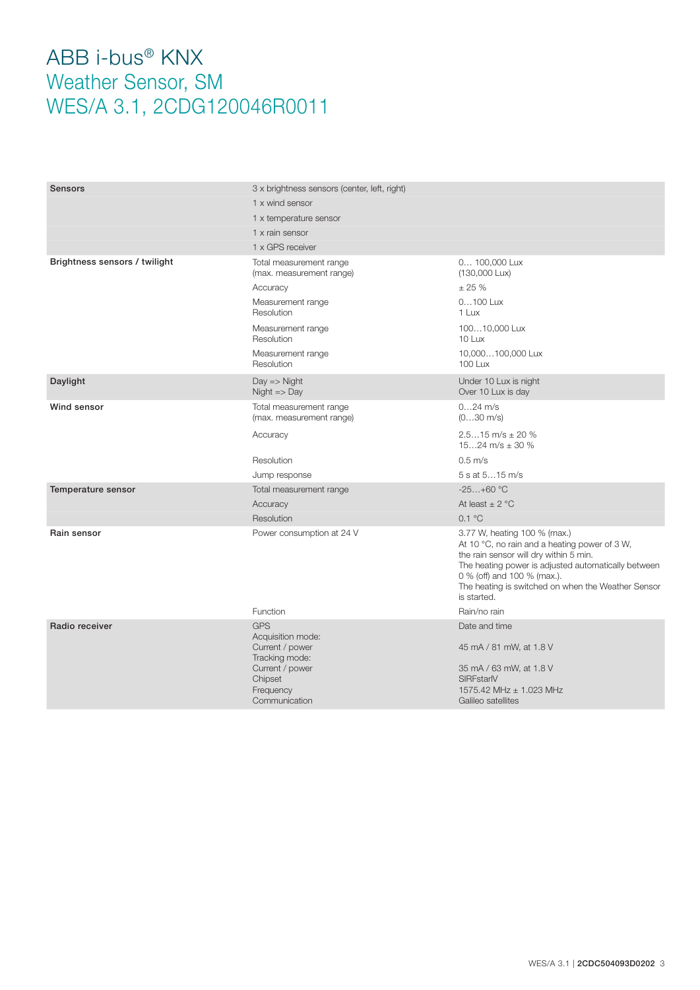| Sensors                       | 3 x brightness sensors (center, left, right)                                                                    |                                                                                                                                                                                                                                                                                    |
|-------------------------------|-----------------------------------------------------------------------------------------------------------------|------------------------------------------------------------------------------------------------------------------------------------------------------------------------------------------------------------------------------------------------------------------------------------|
|                               | 1 x wind sensor                                                                                                 |                                                                                                                                                                                                                                                                                    |
|                               | 1 x temperature sensor                                                                                          |                                                                                                                                                                                                                                                                                    |
|                               | 1 x rain sensor                                                                                                 |                                                                                                                                                                                                                                                                                    |
|                               | 1 x GPS receiver                                                                                                |                                                                                                                                                                                                                                                                                    |
| Brightness sensors / twilight | Total measurement range<br>(max. measurement range)                                                             | 0 100,000 Lux<br>(130,000 Lux)                                                                                                                                                                                                                                                     |
|                               | Accuracy                                                                                                        | ± 25%                                                                                                                                                                                                                                                                              |
|                               | Measurement range<br>Resolution                                                                                 | 0100 Lux<br>1 Lux                                                                                                                                                                                                                                                                  |
|                               | Measurement range<br>Resolution                                                                                 | 10010,000 Lux<br>10 Lux                                                                                                                                                                                                                                                            |
|                               | Measurement range<br>Resolution                                                                                 | 10,000100,000 Lux<br><b>100 Lux</b>                                                                                                                                                                                                                                                |
| Daylight                      | $Day \Rightarrow$ Night<br>$Night \gg Day$                                                                      | Under 10 Lux is night<br>Over 10 Lux is day                                                                                                                                                                                                                                        |
| Wind sensor                   | Total measurement range<br>(max. measurement range)                                                             | $024$ m/s<br>$(030 \text{ m/s})$                                                                                                                                                                                                                                                   |
|                               | Accuracy                                                                                                        | $2.515$ m/s $\pm$ 20 %<br>1524 m/s $\pm$ 30 %                                                                                                                                                                                                                                      |
|                               | Resolution                                                                                                      | $0.5$ m/s                                                                                                                                                                                                                                                                          |
|                               | Jump response                                                                                                   | 5 s at 515 m/s                                                                                                                                                                                                                                                                     |
| Temperature sensor            | Total measurement range                                                                                         | $-25+60$ °C                                                                                                                                                                                                                                                                        |
|                               | Accuracy                                                                                                        | At least $\pm$ 2 °C                                                                                                                                                                                                                                                                |
|                               | Resolution                                                                                                      | 0.1 °C                                                                                                                                                                                                                                                                             |
| Rain sensor                   | Power consumption at 24 V                                                                                       | 3.77 W, heating 100 % (max.)<br>At 10 °C, no rain and a heating power of 3 W,<br>the rain sensor will dry within 5 min.<br>The heating power is adjusted automatically between<br>0 % (off) and 100 % (max.).<br>The heating is switched on when the Weather Sensor<br>is started. |
|                               | Function                                                                                                        | Rain/no rain                                                                                                                                                                                                                                                                       |
| Radio receiver                | <b>GPS</b><br>Acquisition mode:<br>Current / power<br>Tracking mode:<br>Current / power<br>Chipset<br>Frequency | Date and time<br>45 mA / 81 mW, at 1.8 V<br>35 mA / 63 mW, at 1.8 V<br>SIRFstarlV<br>1575.42 MHz ± 1.023 MHz                                                                                                                                                                       |
|                               | Communication                                                                                                   | Galileo satellites                                                                                                                                                                                                                                                                 |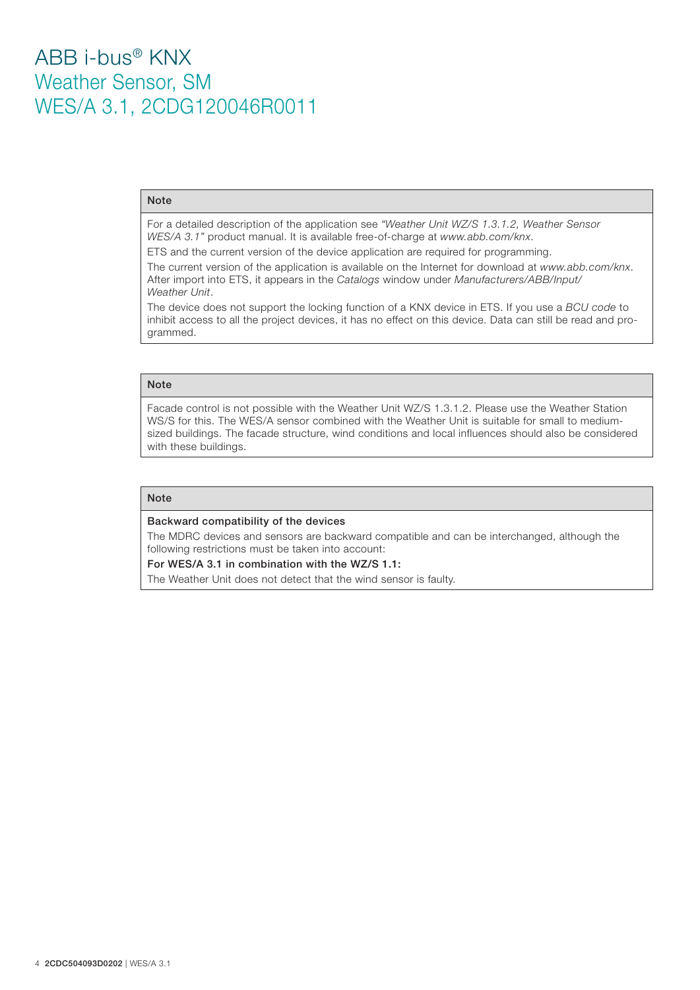#### Note

For a detailed description of the application see *"Weather Unit WZ/S 1.3.1.2, Weather Sensor WES/A 3.1"* product manual. It is available free-of-charge at *www.abb.com/knx*.

ETS and the current version of the device application are required for programming.

The current version of the application is available on the Internet for download at *www.abb.com/knx*. After import into ETS, it appears in the *Catalogs* window under *Manufacturers/ABB/Input/ Weather Unit*.

The device does not support the locking function of a KNX device in ETS. If you use a *BCU code* to inhibit access to all the project devices, it has no effect on this device. Data can still be read and programmed.

### Note

Facade control is not possible with the Weather Unit WZ/S 1.3.1.2. Please use the Weather Station WS/S for this. The WES/A sensor combined with the Weather Unit is suitable for small to mediumsized buildings. The facade structure, wind conditions and local influences should also be considered with these buildings.

#### **Note**

#### Backward compatibility of the devices

The MDRC devices and sensors are backward compatible and can be interchanged, although the following restrictions must be taken into account:

For WES/A 3.1 in combination with the WZ/S 1.1:

The Weather Unit does not detect that the wind sensor is faulty.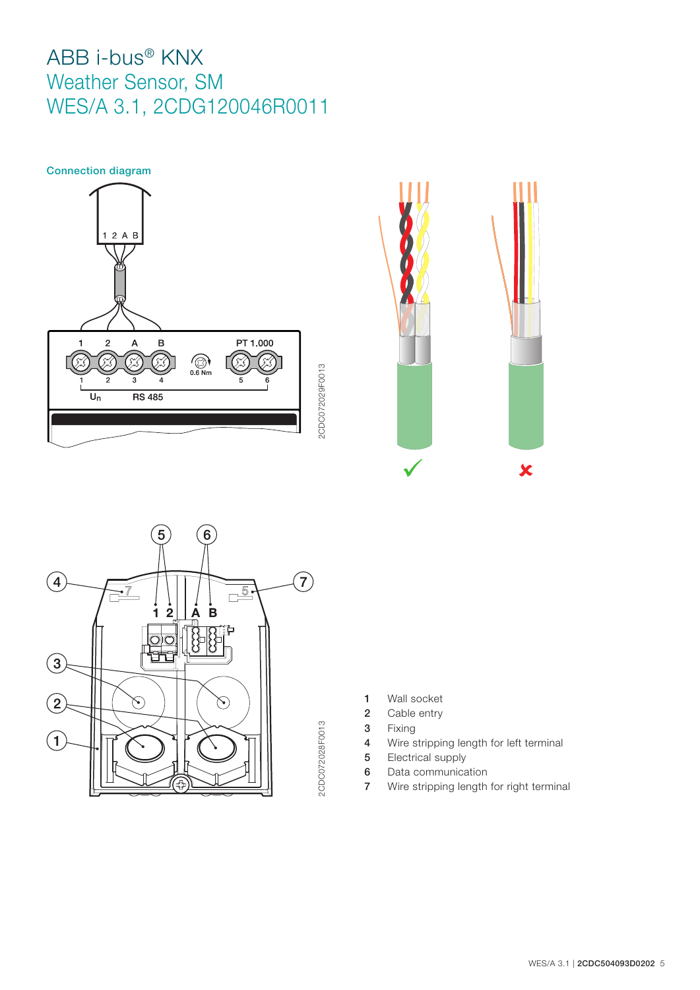





- 2CDC072028F0013 2CDC072028F0013
- 1 Wall socket
- 2 Cable entry
- 3 Fixing
- 4 Wire stripping length for left terminal
- 5 Electrical supply
- 6 Data communication
- 7 Wire stripping length for right terminal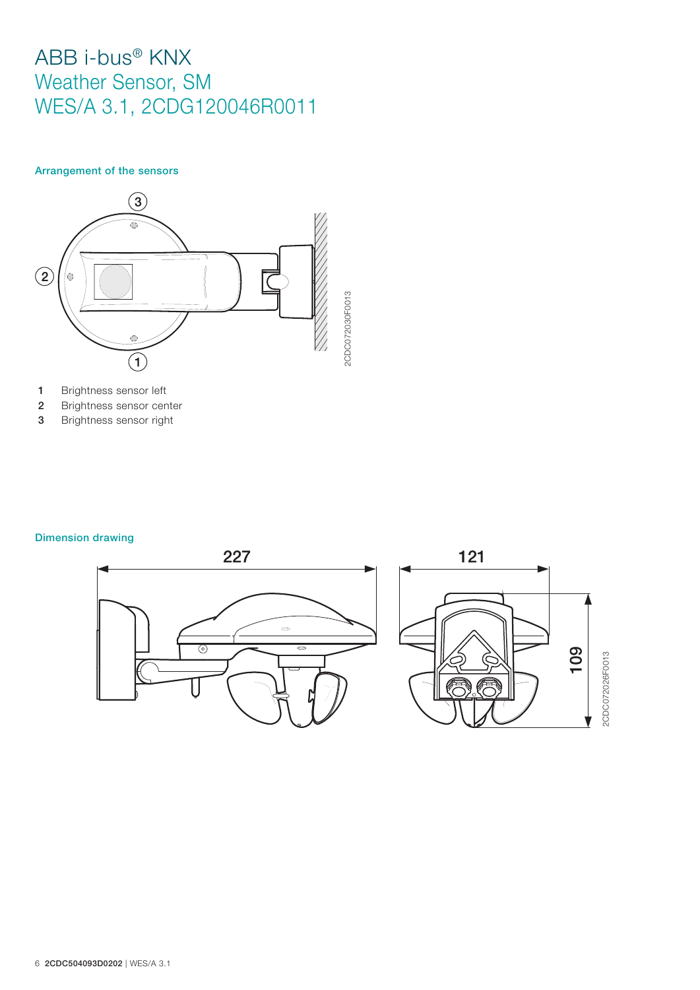### Arrangement of the sensors



- 1 Brightness sensor left
- 2 Brightness sensor center
- 3 Brightness sensor right

### Dimension drawing

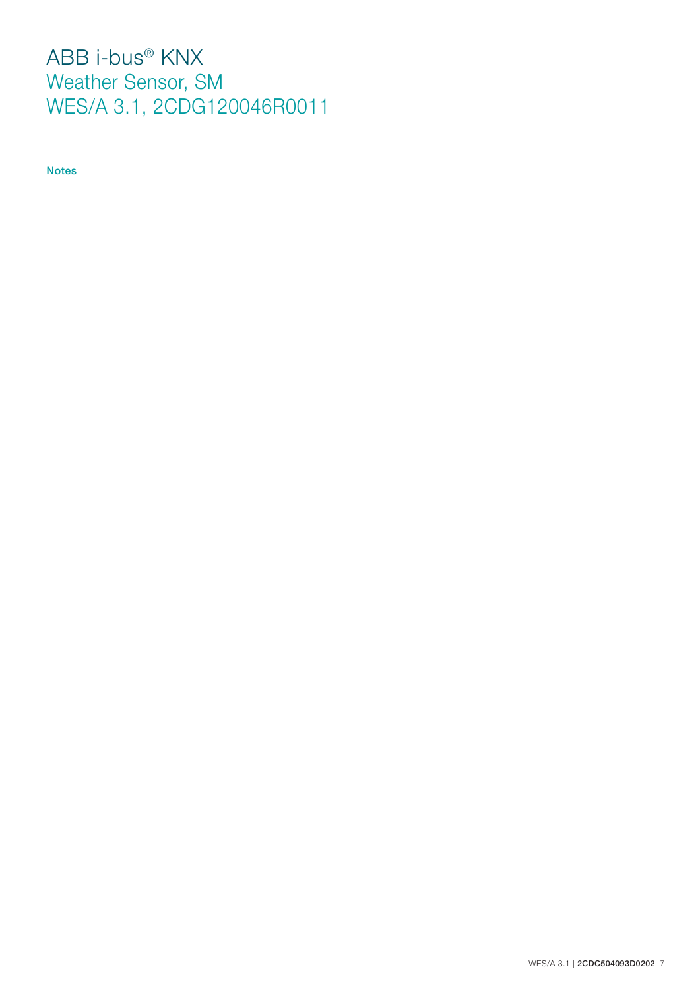Notes